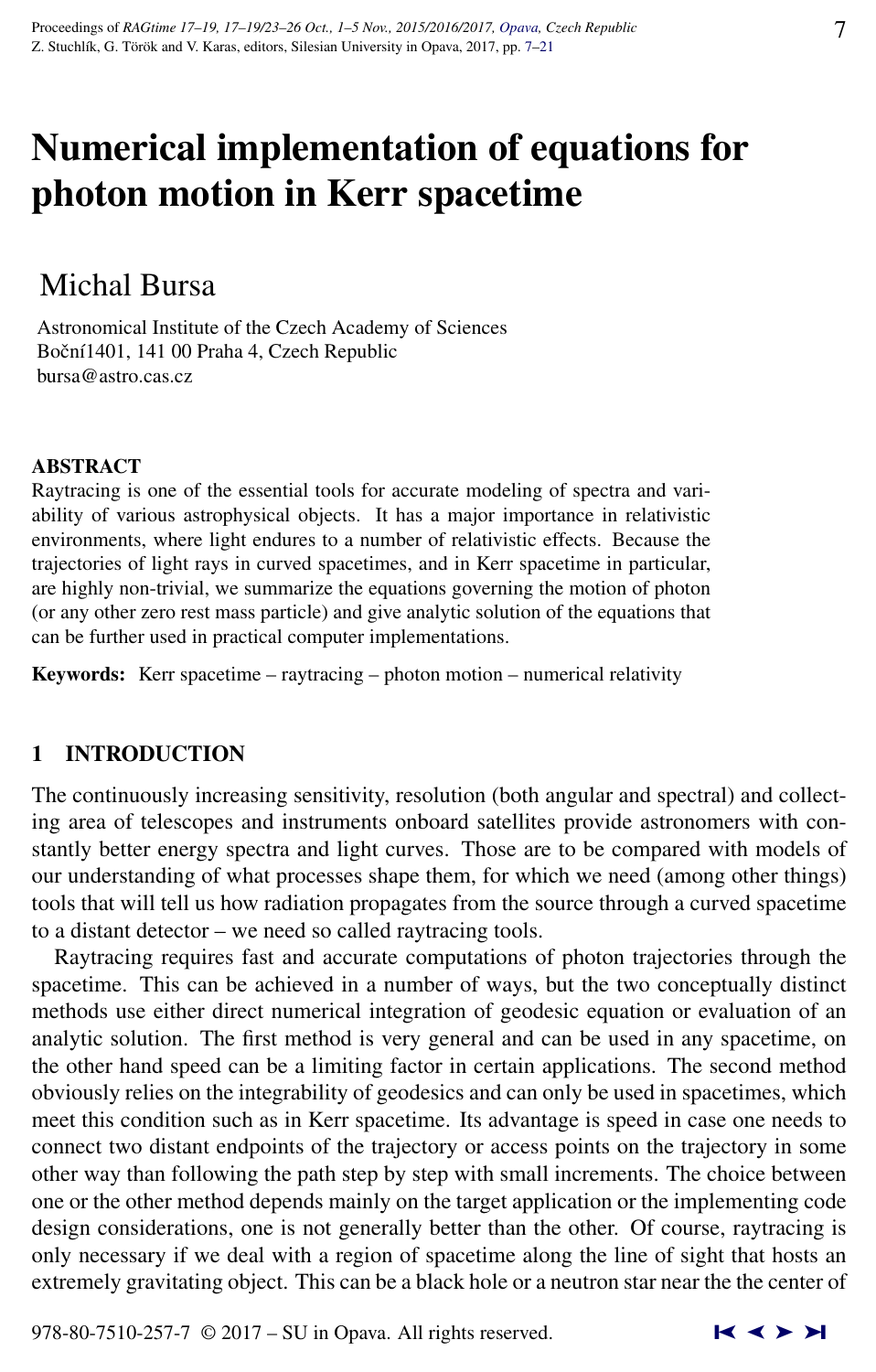# Numerical implementation of equations for photon motion in Kerr spacetime

# Michal Bursa

Astronomical Institute of the Czech Academy of Sciences Boční 1401, 141 00 Praha 4, Czech Republic bursa@astro.cas.cz

# ABSTRACT

Raytracing is one of the essential tools for accurate modeling of spectra and variability of various astrophysical objects. It has a major importance in relativistic environments, where light endures to a number of relativistic effects. Because the trajectories of light rays in curved spacetimes, and in Kerr spacetime in particular, are highly non-trivial, we summarize the equations governing the motion of photon (or any other zero rest mass particle) and give analytic solution of the equations that can be further used in practical computer implementations.

Keywords: Kerr spacetime – raytracing – photon motion – numerical relativity

# 1 INTRODUCTION

The continuously increasing sensitivity, resolution (both angular and spectral) and collecting area of telescopes and instruments onboard satellites provide astronomers with constantly better energy spectra and light curves. Those are to be compared with models of our understanding of what processes shape them, for which we need (among other things) tools that will tell us how radiation propagates from the source through a curved spacetime to a distant detector – we need so called raytracing tools.

Raytracing requires fast and accurate computations of photon trajectories through the spacetime. This can be achieved in a number of ways, but the two conceptually distinct methods use either direct numerical integration of geodesic equation or evaluation of an analytic solution. The first method is very general and can be used in any spacetime, on the other hand speed can be a limiting factor in certain applications. The second method obviously relies on the integrability of geodesics and can only be used in spacetimes, which meet this condition such as in Kerr spacetime. Its advantage is speed in case one needs to connect two distant endpoints of the trajectory or access points on the trajectory in some other way than following the path step by step with small increments. The choice between one or the other method depends mainly on the target application or the implementing code design considerations, one is not generally better than the other. Of course, raytracing is only necessary if we deal with a region of spacetime along the line of sight that hosts an extremely gravitating object. This can be a black hole or a neutron star near the the center of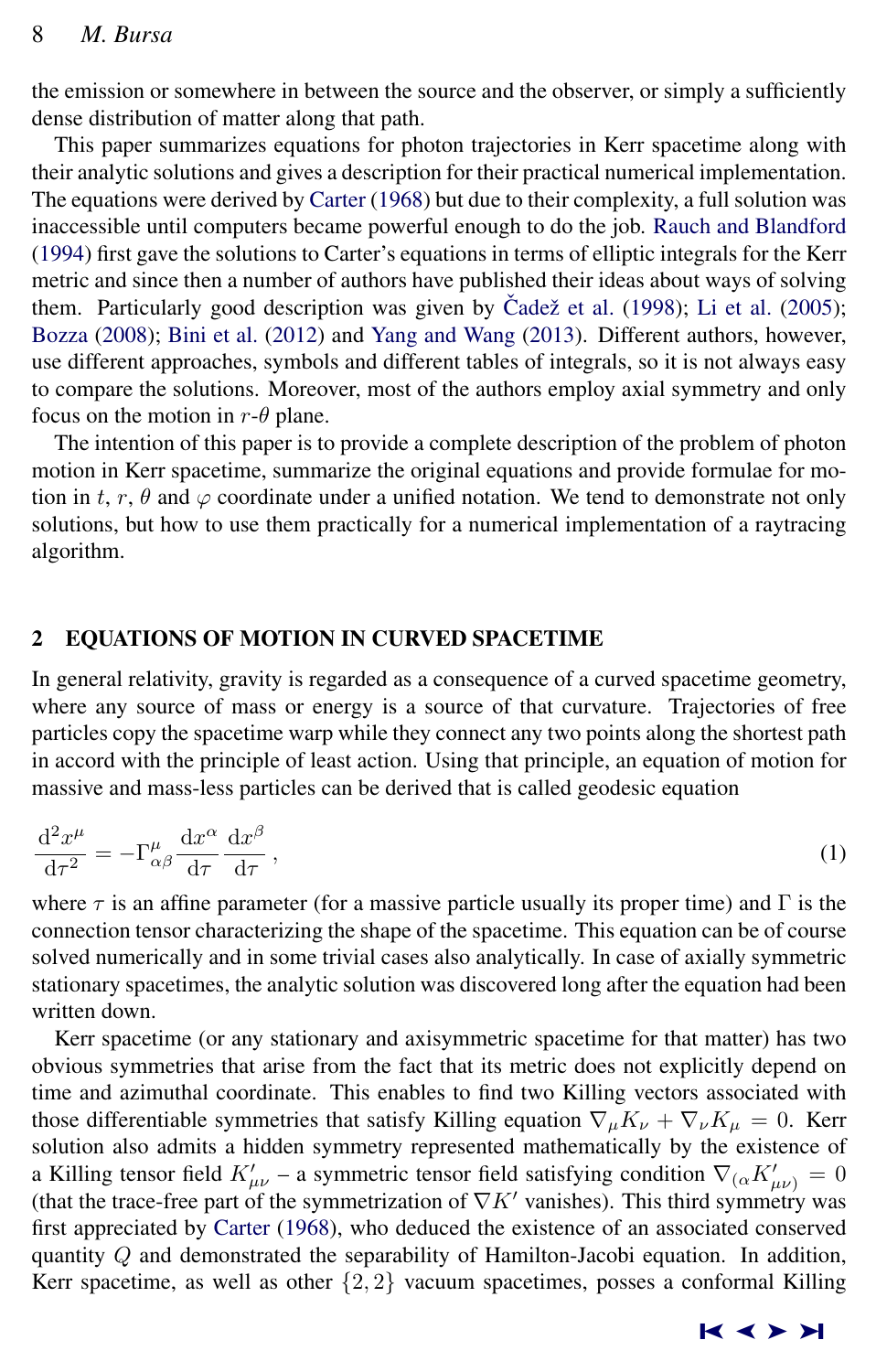<span id="page-1-0"></span>the emission or somewhere in between the source and the observer, or simply a sufficiently dense distribution of matter along that path.

This paper summarizes equations for photon trajectories in Kerr spacetime along with their analytic solutions and gives a description for their practical numerical implementation. The equations were derived by [Carter](#page-13-0) [\(1968\)](#page-13-0) but due to their complexity, a full solution was inaccessible until computers became powerful enough to do the job. [Rauch and Blandford](#page-13-0) [\(1994\)](#page-13-0) first gave the solutions to Carter's equations in terms of elliptic integrals for the Kerr metric and since then a number of authors have published their ideas about ways of solving them. Particularly good description was given by Čadež et al.  $(1998)$ ; [Li et al.](#page-13-0)  $(2005)$ ; [Bozza](#page-13-0) [\(2008\)](#page-13-0); [Bini et al.](#page-13-0) [\(2012\)](#page-13-0) and [Yang and Wang](#page-14-0) [\(2013\)](#page-14-0). Different authors, however, use different approaches, symbols and different tables of integrals, so it is not always easy to compare the solutions. Moreover, most of the authors employ axial symmetry and only focus on the motion in  $r-\theta$  plane.

The intention of this paper is to provide a complete description of the problem of photon motion in Kerr spacetime, summarize the original equations and provide formulae for motion in t, r,  $\theta$  and  $\varphi$  coordinate under a unified notation. We tend to demonstrate not only solutions, but how to use them practically for a numerical implementation of a raytracing algorithm.

# 2 EQUATIONS OF MOTION IN CURVED SPACETIME

In general relativity, gravity is regarded as a consequence of a curved spacetime geometry, where any source of mass or energy is a source of that curvature. Trajectories of free particles copy the spacetime warp while they connect any two points along the shortest path in accord with the principle of least action. Using that principle, an equation of motion for massive and mass-less particles can be derived that is called geodesic equation

$$
\frac{\mathrm{d}^2 x^{\mu}}{\mathrm{d}\tau^2} = -\Gamma^{\mu}_{\alpha\beta} \frac{\mathrm{d}x^{\alpha}}{\mathrm{d}\tau} \frac{\mathrm{d}x^{\beta}}{\mathrm{d}\tau},\tag{1}
$$

where  $\tau$  is an affine parameter (for a massive particle usually its proper time) and  $\Gamma$  is the connection tensor characterizing the shape of the spacetime. This equation can be of course solved numerically and in some trivial cases also analytically. In case of axially symmetric stationary spacetimes, the analytic solution was discovered long after the equation had been written down.

Kerr spacetime (or any stationary and axisymmetric spacetime for that matter) has two obvious symmetries that arise from the fact that its metric does not explicitly depend on time and azimuthal coordinate. This enables to find two Killing vectors associated with those differentiable symmetries that satisfy Killing equation  $\nabla_{\mu}K_{\nu} + \nabla_{\nu}K_{\mu} = 0$ . Kerr solution also admits a hidden symmetry represented mathematically by the existence of a Killing tensor field  $K'_{\mu\nu}$  – a symmetric tensor field satisfying condition  $\nabla_{(\alpha} K'_{\mu\nu)} = 0$ (that the trace-free part of the symmetrization of  $\nabla K'$  vanishes). This third symmetry was first appreciated by [Carter](#page-13-0) [\(1968\)](#page-13-0), who deduced the existence of an associated conserved quantity  $Q$  and demonstrated the separability of Hamilton-Jacobi equation. In addition, Kerr spacetime, as well as other  $\{2, 2\}$  vacuum spacetimes, posses a conformal Killing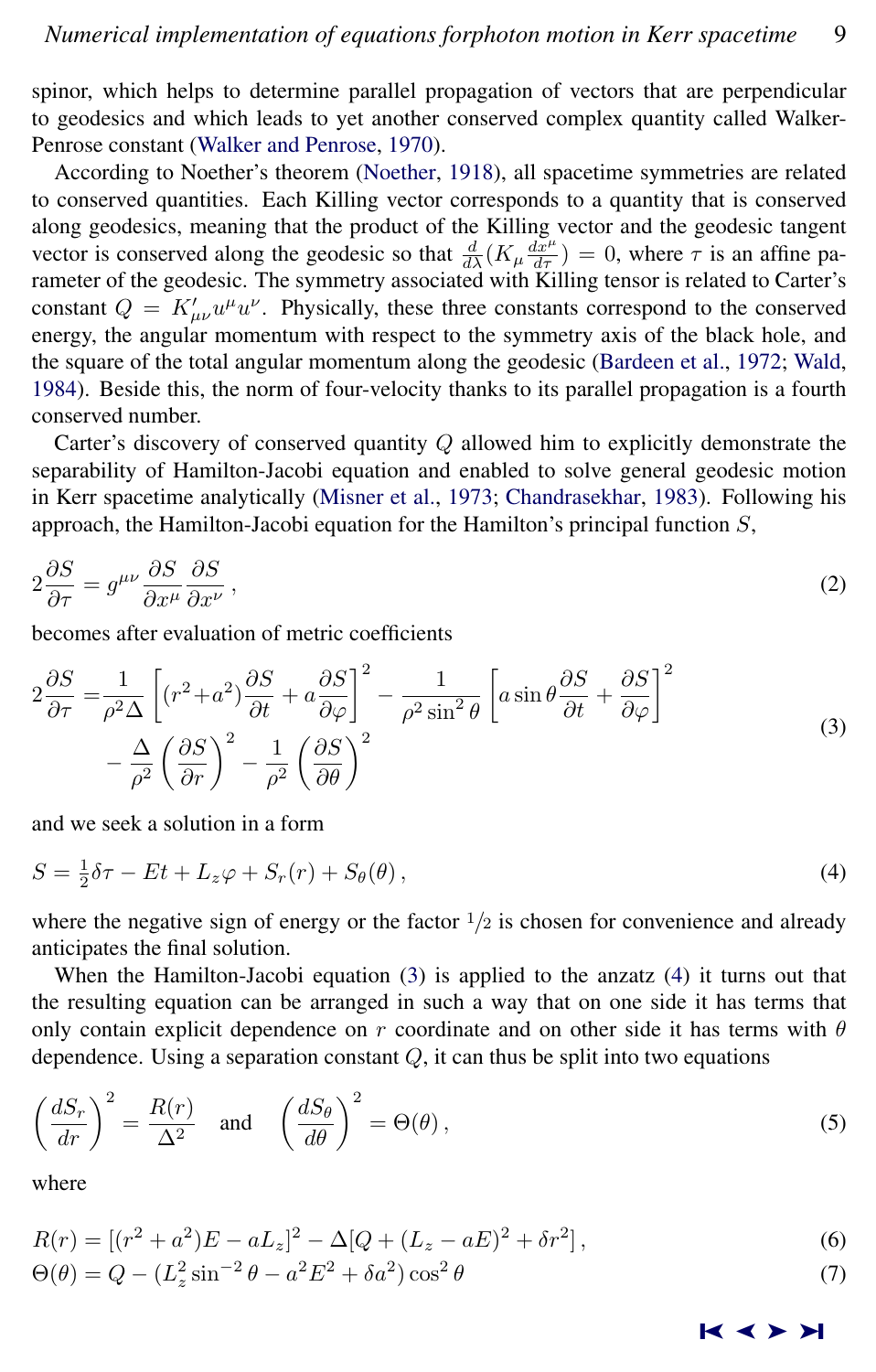spinor, which helps to determine parallel propagation of vectors that are perpendicular to geodesics and which leads to yet another conserved complex quantity called Walker-Penrose constant [\(Walker and Penrose,](#page-14-0) [1970\)](#page-14-0).

According to Noether's theorem [\(Noether,](#page-13-0) [1918\)](#page-13-0), all spacetime symmetries are related to conserved quantities. Each Killing vector corresponds to a quantity that is conserved along geodesics, meaning that the product of the Killing vector and the geodesic tangent vector is conserved along the geodesic so that  $\frac{d}{d\lambda}(K_\mu \frac{dx^\mu}{d\tau}) = 0$ , where  $\tau$  is an affine parameter of the geodesic. The symmetry associated with Killing tensor is related to Carter's constant  $Q = K'_{\mu\nu}u^{\mu}u^{\nu}$ . Physically, these three constants correspond to the conserved energy, the angular momentum with respect to the symmetry axis of the black hole, and the square of the total angular momentum along the geodesic [\(Bardeen et al.,](#page-13-0) [1972;](#page-13-0) [Wald,](#page-14-0) [1984\)](#page-14-0). Beside this, the norm of four-velocity thanks to its parallel propagation is a fourth conserved number.

Carter's discovery of conserved quantity Q allowed him to explicitly demonstrate the separability of Hamilton-Jacobi equation and enabled to solve general geodesic motion in Kerr spacetime analytically [\(Misner et al.,](#page-13-0) [1973;](#page-13-0) [Chandrasekhar,](#page-13-0) [1983\)](#page-13-0). Following his approach, the Hamilton-Jacobi equation for the Hamilton's principal function  $S$ ,

$$
2\frac{\partial S}{\partial \tau} = g^{\mu\nu}\frac{\partial S}{\partial x^{\mu}}\frac{\partial S}{\partial x^{\nu}},\tag{2}
$$

becomes after evaluation of metric coefficients

$$
2\frac{\partial S}{\partial \tau} = \frac{1}{\rho^2 \Delta} \left[ (r^2 + a^2) \frac{\partial S}{\partial t} + a \frac{\partial S}{\partial \varphi} \right]^2 - \frac{1}{\rho^2 \sin^2 \theta} \left[ a \sin \theta \frac{\partial S}{\partial t} + \frac{\partial S}{\partial \varphi} \right]^2
$$
  

$$
- \frac{\Delta}{\rho^2} \left( \frac{\partial S}{\partial r} \right)^2 - \frac{1}{\rho^2} \left( \frac{\partial S}{\partial \theta} \right)^2
$$
(3)

and we seek a solution in a form

$$
S = \frac{1}{2}\delta\tau - Et + L_z\varphi + S_r(r) + S_\theta(\theta),\tag{4}
$$

where the negative sign of energy or the factor  $\frac{1}{2}$  is chosen for convenience and already anticipates the final solution.

When the Hamilton-Jacobi equation (3) is applied to the anzatz (4) it turns out that the resulting equation can be arranged in such a way that on one side it has terms that only contain explicit dependence on r coordinate and on other side it has terms with  $\theta$ dependence. Using a separation constant  $Q$ , it can thus be split into two equations

$$
\left(\frac{dS_r}{dr}\right)^2 = \frac{R(r)}{\Delta^2} \quad \text{and} \quad \left(\frac{dS_\theta}{d\theta}\right)^2 = \Theta(\theta),\tag{5}
$$

where

$$
R(r) = [(r^2 + a^2)E - aL_z]^2 - \Delta[Q + (L_z - aE)^2 + \delta r^2],
$$
  
\n
$$
\Theta(\theta) = Q - (L_z^2 \sin^{-2} \theta - a^2 E^2 + \delta a^2) \cos^2 \theta
$$
\n(7)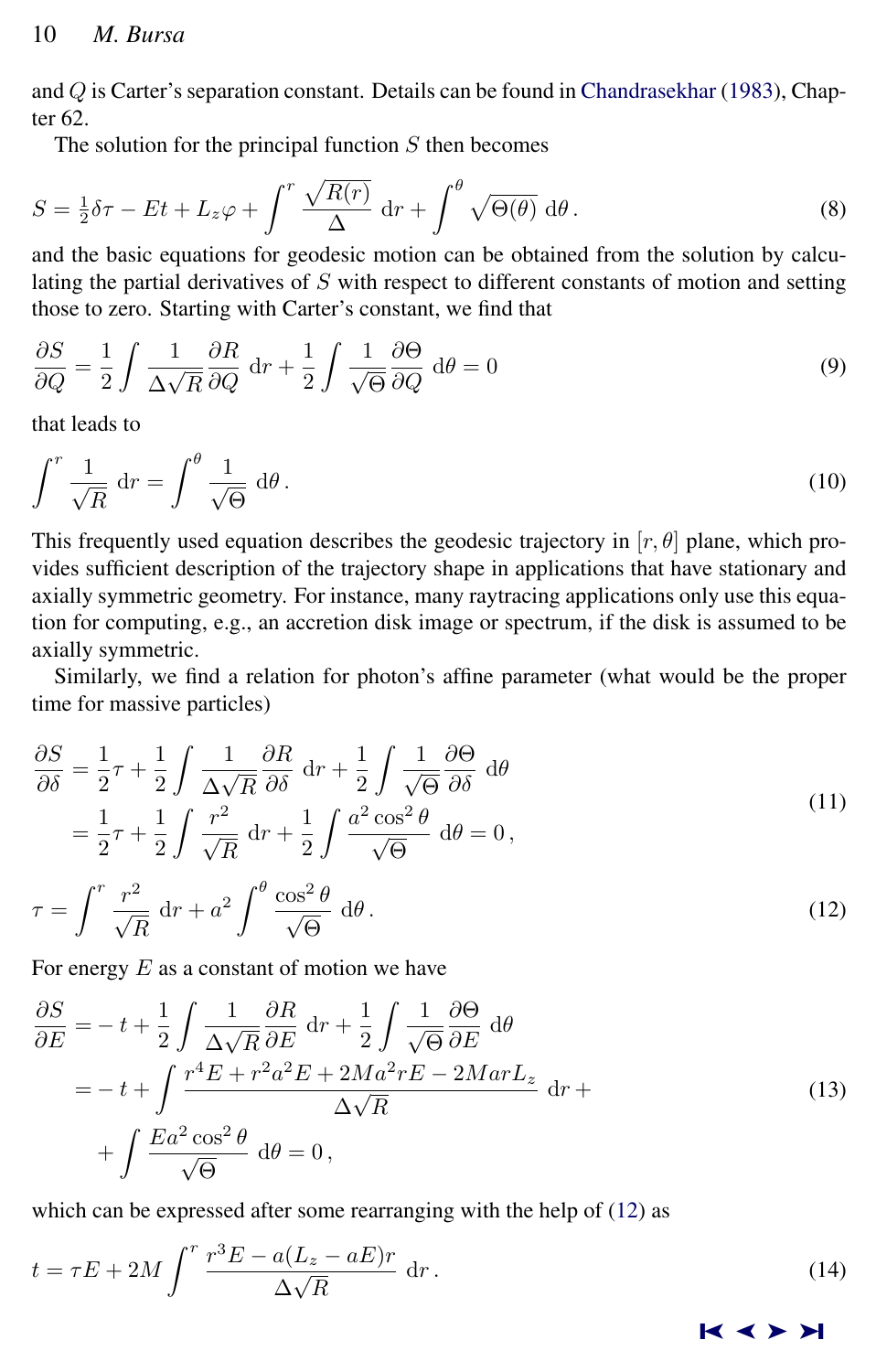and Q is Carter's separation constant. Details can be found in [Chandrasekhar](#page-13-0) [\(1983\)](#page-13-0), Chapter 62.

The solution for the principal function  $S$  then becomes

$$
S = \frac{1}{2}\delta\tau - Et + L_z\varphi + \int^r \frac{\sqrt{R(r)}}{\Delta} dr + \int^{\theta} \sqrt{\Theta(\theta)} d\theta.
$$
 (8)

and the basic equations for geodesic motion can be obtained from the solution by calculating the partial derivatives of  $S$  with respect to different constants of motion and setting those to zero. Starting with Carter's constant, we find that

$$
\frac{\partial S}{\partial Q} = \frac{1}{2} \int \frac{1}{\Delta \sqrt{R}} \frac{\partial R}{\partial Q} dr + \frac{1}{2} \int \frac{1}{\sqrt{\Theta}} \frac{\partial \Theta}{\partial Q} d\theta = 0
$$
\n(9)

that leads to

$$
\int^r \frac{1}{\sqrt{R}} \, \mathrm{d}r = \int^\theta \frac{1}{\sqrt{\Theta}} \, \mathrm{d}\theta \,. \tag{10}
$$

This frequently used equation describes the geodesic trajectory in  $[r, \theta]$  plane, which provides sufficient description of the trajectory shape in applications that have stationary and axially symmetric geometry. For instance, many raytracing applications only use this equation for computing, e.g., an accretion disk image or spectrum, if the disk is assumed to be axially symmetric.

Similarly, we find a relation for photon's affine parameter (what would be the proper time for massive particles)

$$
\frac{\partial S}{\partial \delta} = \frac{1}{2}\tau + \frac{1}{2} \int \frac{1}{\Delta\sqrt{R}} \frac{\partial R}{\partial \delta} dr + \frac{1}{2} \int \frac{1}{\sqrt{\Theta}} \frac{\partial \Theta}{\partial \delta} d\theta \n= \frac{1}{2}\tau + \frac{1}{2} \int \frac{r^2}{\sqrt{R}} dr + \frac{1}{2} \int \frac{a^2 \cos^2 \theta}{\sqrt{\Theta}} d\theta = 0,
$$
\n(11)

$$
\tau = \int^r \frac{r^2}{\sqrt{R}} dr + a^2 \int^{\theta} \frac{\cos^2 \theta}{\sqrt{\Theta}} d\theta.
$$
 (12)

For energy  $E$  as a constant of motion we have

$$
\frac{\partial S}{\partial E} = -t + \frac{1}{2} \int \frac{1}{\Delta \sqrt{R}} \frac{\partial R}{\partial E} dr + \frac{1}{2} \int \frac{1}{\sqrt{\Theta}} \frac{\partial \Theta}{\partial E} d\theta
$$
  
=  $-t + \int \frac{r^4 E + r^2 a^2 E + 2Ma^2 r E - 2Mar L_z}{\Delta \sqrt{R}} dr + \int \frac{E a^2 \cos^2 \theta}{\sqrt{\Theta}} d\theta = 0,$  (13)

which can be expressed after some rearranging with the help of (12) as

$$
t = \tau E + 2M \int^r \frac{r^3 E - a(L_z - aE)r}{\Delta \sqrt{R}} dr.
$$
 (14)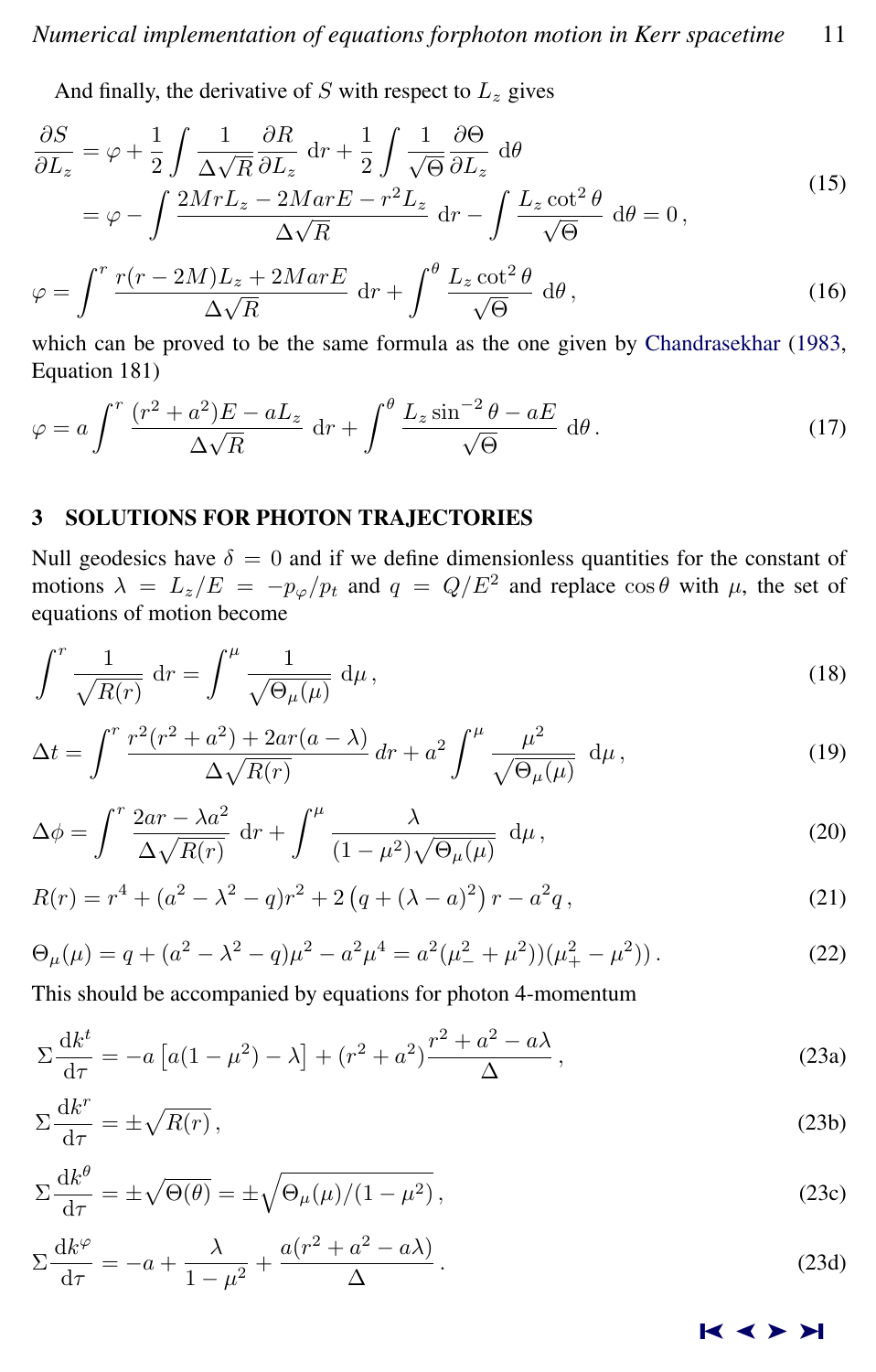<span id="page-4-0"></span>And finally, the derivative of  $S$  with respect to  $L_z$  gives

$$
\frac{\partial S}{\partial L_z} = \varphi + \frac{1}{2} \int \frac{1}{\Delta \sqrt{R}} \frac{\partial R}{\partial L_z} dr + \frac{1}{2} \int \frac{1}{\sqrt{\Theta}} \frac{\partial \Theta}{\partial L_z} d\theta \n= \varphi - \int \frac{2MrL_z - 2MarE - r^2L_z}{\Delta \sqrt{R}} dr - \int \frac{L_z \cot^2 \theta}{\sqrt{\Theta}} d\theta = 0,
$$
\n(15)

$$
\varphi = \int^r \frac{r(r - 2M)L_z + 2MarE}{\Delta\sqrt{R}} dr + \int^{\theta} \frac{L_z \cot^2 \theta}{\sqrt{\Theta}} d\theta,
$$
\n(16)

which can be proved to be the same formula as the one given by [Chandrasekhar](#page-13-0) [\(1983,](#page-13-0) Equation 181)

$$
\varphi = a \int^r \frac{(r^2 + a^2)E - aL_z}{\Delta\sqrt{R}} dr + \int^{\theta} \frac{L_z \sin^{-2}\theta - aE}{\sqrt{\Theta}} d\theta.
$$
 (17)

# 3 SOLUTIONS FOR PHOTON TRAJECTORIES

Null geodesics have  $\delta = 0$  and if we define dimensionless quantities for the constant of motions  $\lambda = L_z/E = -p_{\varphi}/p_t$  and  $q = Q/E^2$  and replace  $\cos \theta$  with  $\mu$ , the set of equations of motion become

$$
\int^r \frac{1}{\sqrt{R(r)}} \, \mathrm{d}r = \int^\mu \frac{1}{\sqrt{\Theta_\mu(\mu)}} \, \mathrm{d}\mu \,,\tag{18}
$$

$$
\Delta t = \int^r \frac{r^2(r^2 + a^2) + 2ar(a - \lambda)}{\Delta \sqrt{R(r)}} dr + a^2 \int^{\mu} \frac{\mu^2}{\sqrt{\Theta_{\mu}(\mu)}} d\mu, \qquad (19)
$$

$$
\Delta \phi = \int^r \frac{2ar - \lambda a^2}{\Delta \sqrt{R(r)}} dr + \int^{\mu} \frac{\lambda}{(1 - \mu^2) \sqrt{\Theta_{\mu}(\mu)}} d\mu,
$$
\n(20)

$$
R(r) = r4 + (a2 - \lambda2 - q)r2 + 2(q + (\lambda - a)2)r - a2q,
$$
\n(21)

$$
\Theta_{\mu}(\mu) = q + (a^2 - \lambda^2 - q)\mu^2 - a^2\mu^4 = a^2(\mu_-^2 + \mu^2))(\mu_+^2 - \mu^2).
$$
 (22)

This should be accompanied by equations for photon 4-momentum

$$
\Sigma \frac{\mathrm{d}k^t}{\mathrm{d}\tau} = -a \left[ a(1-\mu^2) - \lambda \right] + \left( r^2 + a^2 \right) \frac{r^2 + a^2 - a\lambda}{\Delta},\tag{23a}
$$

$$
\Sigma \frac{\mathrm{d}k^r}{\mathrm{d}\tau} = \pm \sqrt{R(r)},\tag{23b}
$$

$$
\Sigma \frac{\mathrm{d}k^{\theta}}{\mathrm{d}\tau} = \pm \sqrt{\Theta(\theta)} = \pm \sqrt{\Theta_{\mu}(\mu)/(1 - \mu^2)},\tag{23c}
$$

$$
\Sigma \frac{\mathrm{d}k^{\varphi}}{\mathrm{d}\tau} = -a + \frac{\lambda}{1 - \mu^2} + \frac{a(r^2 + a^2 - a\lambda)}{\Delta}.
$$
 (23d)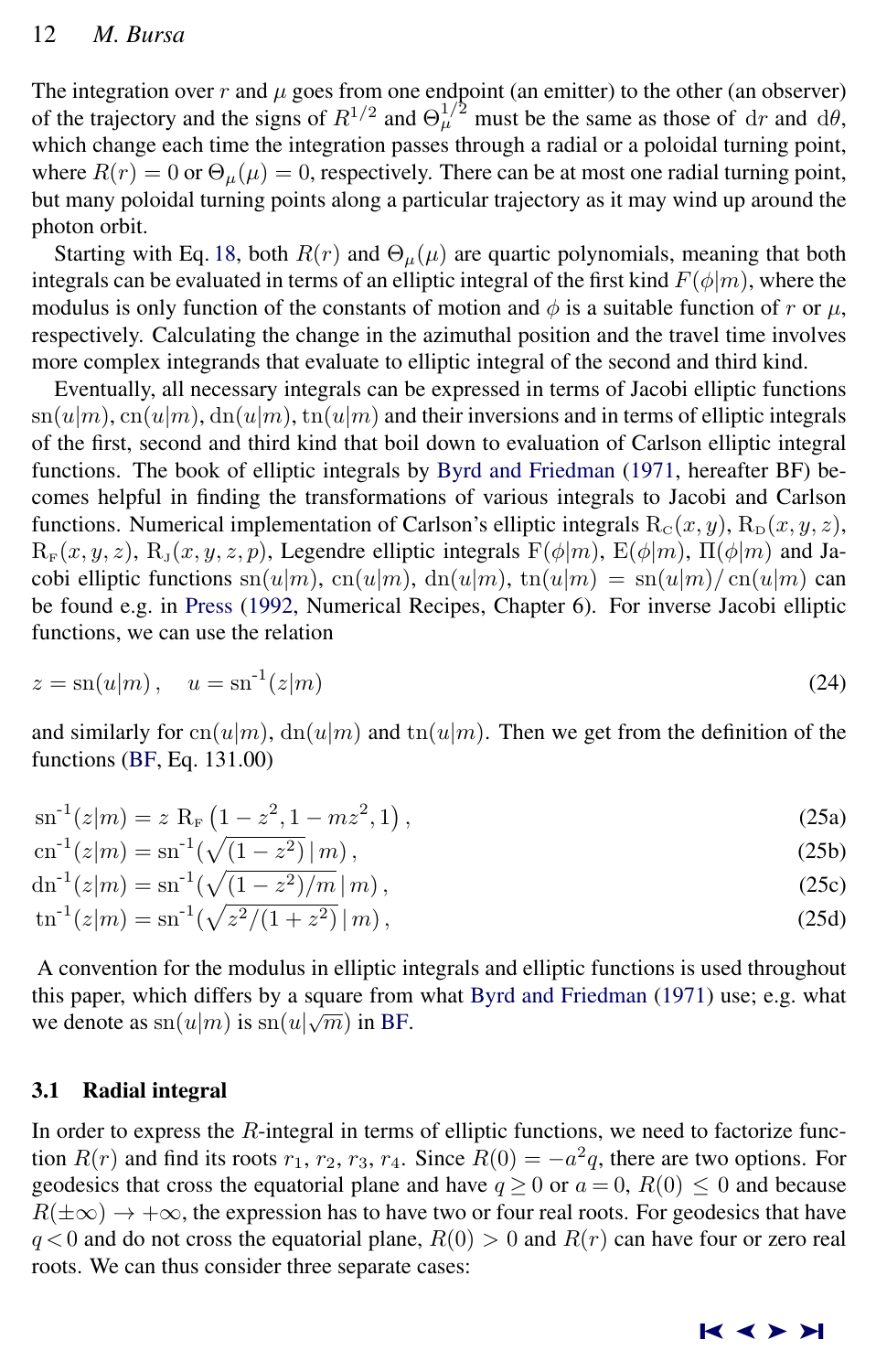# <span id="page-5-0"></span>12 *M. Bursa*

The integration over r and  $\mu$  goes from one endpoint (an emitter) to the other (an observer) of the trajectory and the signs of  $R^{1/2}$  and  $\Theta_{\mu}^{1/2}$  must be the same as those of dr and d $\theta$ , which change each time the integration passes through a radial or a poloidal turning point, where  $R(r) = 0$  or  $\Theta_{\mu}(\mu) = 0$ , respectively. There can be at most one radial turning point, but many poloidal turning points along a particular trajectory as it may wind up around the photon orbit.

Starting with Eq. [18,](#page-4-0) both  $R(r)$  and  $\Theta_{\mu}(\mu)$  are quartic polynomials, meaning that both integrals can be evaluated in terms of an elliptic integral of the first kind  $F(\phi|m)$ , where the modulus is only function of the constants of motion and  $\phi$  is a suitable function of r or  $\mu$ , respectively. Calculating the change in the azimuthal position and the travel time involves more complex integrands that evaluate to elliptic integral of the second and third kind.

Eventually, all necessary integrals can be expressed in terms of Jacobi elliptic functions  $\text{sn}(u|m)$ ,  $\text{cn}(u|m)$ ,  $\text{dn}(u|m)$ ,  $\text{tn}(u|m)$  and their inversions and in terms of elliptic integrals of the first, second and third kind that boil down to evaluation of Carlson elliptic integral functions. The book of elliptic integrals by [Byrd and Friedman](#page-13-0) [\(1971,](#page-13-0) hereafter BF) becomes helpful in finding the transformations of various integrals to Jacobi and Carlson functions. Numerical implementation of Carlson's elliptic integrals  $R_C(x, y)$ ,  $R_D(x, y, z)$ ,  $R_F(x, y, z)$ ,  $R_J(x, y, z, p)$ , Legendre elliptic integrals  $F(\phi|m)$ ,  $E(\phi|m)$ ,  $\Pi(\phi|m)$  and Jacobi elliptic functions  $\text{sn}(u|m)$ ,  $\text{cn}(u|m)$ ,  $\text{dn}(u|m)$ ,  $\text{tn}(u|m) = \text{sn}(u|m)/\text{cn}(u|m)$  can be found e.g. in [Press](#page-13-0) [\(1992,](#page-13-0) Numerical Recipes, Chapter 6). For inverse Jacobi elliptic functions, we can use the relation

$$
z = \text{sn}(u|m), \quad u = \text{sn}^{-1}(z|m) \tag{24}
$$

and similarly for  $cn(u|m)$ ,  $dn(u|m)$  and  $tn(u|m)$ . Then we get from the definition of the functions [\(BF,](#page-13-0) Eq. 131.00)

$$
sn^{-1}(z|m) = z R_F (1 - z^2, 1 - mz^2, 1),
$$
\n(25a)

$$
cn^{-1}(z|m) = sn^{-1}(\sqrt{(1-z^2)}|m),
$$
\n(25b)

$$
dn^{-1}(z|m) = sn^{-1}(\sqrt{(1-z^2)/m}|m),
$$
\n(25c)

$$
\operatorname{tn}^{-1}(z|m) = \operatorname{sn}^{-1}(\sqrt{z^2/(1+z^2)}\,|\,m)\,,\tag{25d}
$$

A convention for the modulus in elliptic integrals and elliptic functions is used throughout this paper, which differs by a square from what [Byrd and Friedman](#page-13-0) [\(1971\)](#page-13-0) use; e.g. what we denote as  $\text{sn}(u|m)$  is  $\text{sn}(u|\sqrt{m})$  in [BF.](#page-13-0)

# 3.1 Radial integral

In order to express the  $R$ -integral in terms of elliptic functions, we need to factorize function  $R(r)$  and find its roots  $r_1, r_2, r_3, r_4$ . Since  $R(0) = -a^2q$ , there are two options. For geodesics that cross the equatorial plane and have  $q \ge 0$  or  $a = 0$ ,  $R(0) \le 0$  and because  $R(\pm\infty) \rightarrow +\infty$ , the expression has to have two or four real roots. For geodesics that have  $q < 0$  and do not cross the equatorial plane,  $R(0) > 0$  and  $R(r)$  can have four or zero real roots. We can thus consider three separate cases: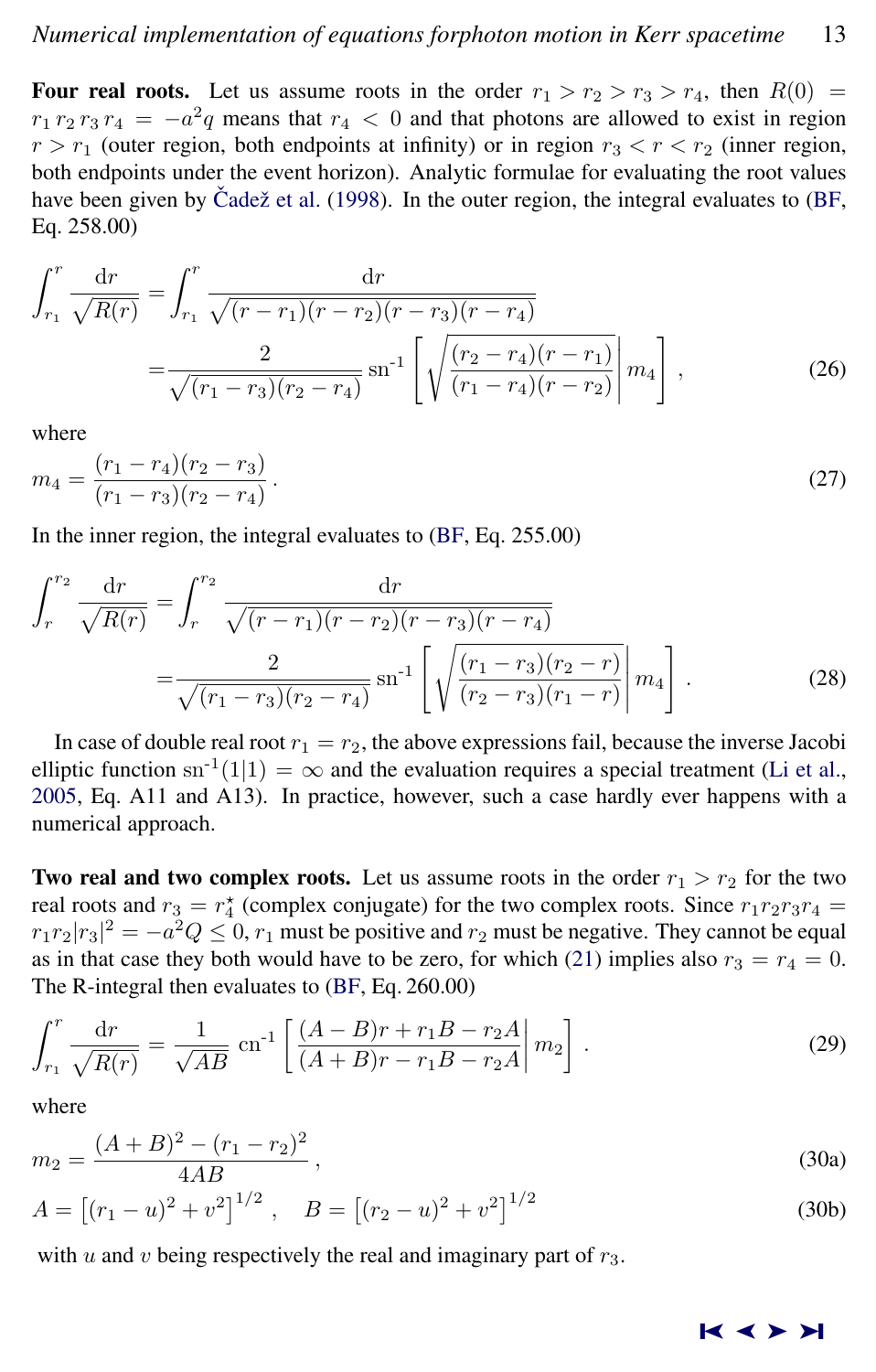<span id="page-6-0"></span>Four real roots. Let us assume roots in the order  $r_1 > r_2 > r_3 > r_4$ , then  $R(0) =$  $r_1 r_2 r_3 r_4 = -a^2 q$  means that  $r_4 < 0$  and that photons are allowed to exist in region  $r > r_1$  (outer region, both endpoints at infinity) or in region  $r_3 < r < r_2$  (inner region, both endpoints under the event horizon). Analytic formulae for evaluating the root values have been given by Čadež et al.  $(1998)$ . In the outer region, the integral evaluates to  $(BF,$ Eq. 258.00)

$$
\int_{r_1}^r \frac{\mathrm{d}r}{\sqrt{R(r)}} = \int_{r_1}^r \frac{\mathrm{d}r}{\sqrt{(r-r_1)(r-r_2)(r-r_3)(r-r_4)}} = \frac{2}{\sqrt{(r_1-r_3)(r_2-r_4)}} \operatorname{sn}^{-1} \left[ \sqrt{\frac{(r_2-r_4)(r-r_1)}{(r_1-r_4)(r-r_2)}} \middle| m_4 \right], \tag{26}
$$

where

$$
m_4 = \frac{(r_1 - r_4)(r_2 - r_3)}{(r_1 - r_3)(r_2 - r_4)}.
$$
\n(27)

In the inner region, the integral evaluates to [\(BF,](#page-13-0) Eq. 255.00)

$$
\int_{r}^{r_2} \frac{\mathrm{d}r}{\sqrt{R(r)}} = \int_{r}^{r_2} \frac{\mathrm{d}r}{\sqrt{(r-r_1)(r-r_2)(r-r_3)(r-r_4)}} = \frac{2}{\sqrt{(r_1-r_3)(r_2-r_4)}} \operatorname{sn}^{-1} \left[ \sqrt{\frac{(r_1-r_3)(r_2-r)}{(r_2-r_3)(r_1-r)}} \middle| m_4 \right]. \tag{28}
$$

In case of double real root  $r_1 = r_2$ , the above expressions fail, because the inverse Jacobi elliptic function sn<sup>-1</sup>(1|1) =  $\infty$  and the evaluation requires a special treatment [\(Li et al.,](#page-13-0) [2005,](#page-13-0) Eq. A11 and A13). In practice, however, such a case hardly ever happens with a numerical approach.

**Two real and two complex roots.** Let us assume roots in the order  $r_1 > r_2$  for the two real roots and  $r_3 = r_4^*$  (complex conjugate) for the two complex roots. Since  $r_1r_2r_3r_4 =$  $r_1r_2|r_3|^2 = -a^2Q \leq 0$ ,  $r_1$  must be positive and  $r_2$  must be negative. They cannot be equal as in that case they both would have to be zero, for which [\(21\)](#page-4-0) implies also  $r_3 = r_4 = 0$ . The R-integral then evaluates to [\(BF,](#page-13-0) Eq. 260.00)

$$
\int_{r_1}^r \frac{\mathrm{d}r}{\sqrt{R(r)}} = \frac{1}{\sqrt{AB}} \operatorname{cn}^{-1} \left[ \frac{(A-B)r + r_1B - r_2A}{(A+B)r - r_1B - r_2A} \right] m_2 \right].
$$
 (29)

where

$$
m_2 = \frac{(A+B)^2 - (r_1 - r_2)^2}{4AB},
$$
\n(30a)

$$
A = [(r_1 - u)^2 + v^2]^{1/2}, \quad B = [(r_2 - u)^2 + v^2]^{1/2}
$$
 (30b)

with u and v being respectively the real and imaginary part of  $r_3$ .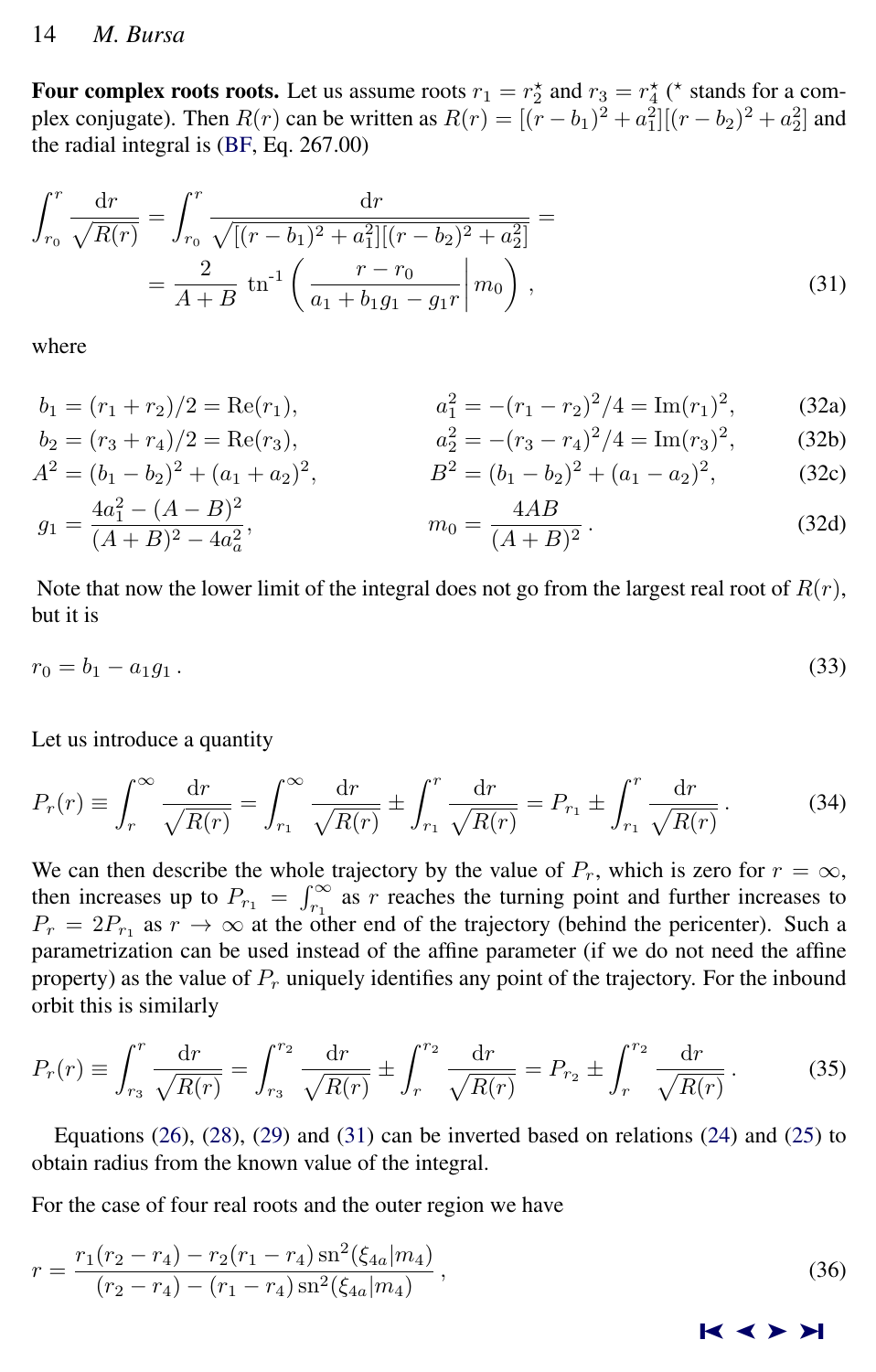# <span id="page-7-0"></span>14 *M. Bursa*

Four complex roots roots. Let us assume roots  $r_1 = r_2^*$  and  $r_3 = r_4^*$  (\* stands for a complex conjugate). Then  $R(r)$  can be written as  $R(r) = [(r - b_1)^2 + a_1^2][(r - b_2)^2 + a_2^2]$  and the radial integral is [\(BF,](#page-13-0) Eq. 267.00)

$$
\int_{r_0}^r \frac{\mathrm{d}r}{\sqrt{R(r)}} = \int_{r_0}^r \frac{\mathrm{d}r}{\sqrt{[(r-b_1)^2 + a_1^2][(r-b_2)^2 + a_2^2]}} =
$$
  
= 
$$
\frac{2}{A+B} \operatorname{tn}^{-1} \left( \frac{r-r_0}{a_1 + b_1 g_1 - g_1 r} \middle| m_0 \right),
$$
 (31)

where

$$
b_1 = (r_1 + r_2)/2 = \text{Re}(r_1), \qquad a_1^2 = -(r_1 - r_2)^2/4 = \text{Im}(r_1)^2, \qquad (32a)
$$

$$
b_2 = (r_3 + r_4)/2 = \text{Re}(r_3),
$$
  
\n
$$
a_2^2 = -(r_3 - r_4)^2/4 = \text{Im}(r_3)^2,
$$
\n(32b)

$$
A^{2} = (b_{1} - b_{2})^{2} + (a_{1} + a_{2})^{2}, \qquad B^{2} = (b_{1} - b_{2})^{2} + (a_{1} - a_{2})^{2}, \qquad (32c)
$$

$$
g_1 = \frac{4a_1^2 - (A - B)^2}{(A + B)^2 - 4a_a^2}, \qquad m_0 = \frac{4AB}{(A + B)^2}.
$$
 (32d)

Note that now the lower limit of the integral does not go from the largest real root of  $R(r)$ , but it is

$$
r_0 = b_1 - a_1 g_1. \tag{33}
$$

Let us introduce a quantity

$$
P_r(r) \equiv \int_r^{\infty} \frac{\mathrm{d}r}{\sqrt{R(r)}} = \int_{r_1}^{\infty} \frac{\mathrm{d}r}{\sqrt{R(r)}} \pm \int_{r_1}^r \frac{\mathrm{d}r}{\sqrt{R(r)}} = P_{r_1} \pm \int_{r_1}^r \frac{\mathrm{d}r}{\sqrt{R(r)}}.
$$
 (34)

We can then describe the whole trajectory by the value of  $P_r$ , which is zero for  $r = \infty$ , then increases up to  $P_{r_1} = \int_{r_1}^{\infty}$  as r reaches the turning point and further increases to  $P_r = 2P_{r_1}$  as  $r \to \infty$  at the other end of the trajectory (behind the pericenter). Such a parametrization can be used instead of the affine parameter (if we do not need the affine property) as the value of  $P_r$  uniquely identifies any point of the trajectory. For the inbound orbit this is similarly

$$
P_r(r) \equiv \int_{r_3}^r \frac{\mathrm{d}r}{\sqrt{R(r)}} = \int_{r_3}^{r_2} \frac{\mathrm{d}r}{\sqrt{R(r)}} \pm \int_r^{r_2} \frac{\mathrm{d}r}{\sqrt{R(r)}} = P_{r_2} \pm \int_r^{r_2} \frac{\mathrm{d}r}{\sqrt{R(r)}}. \tag{35}
$$

Equations  $(26)$ ,  $(28)$ ,  $(29)$  and  $(31)$  can be inverted based on relations  $(24)$  and  $(25)$  to obtain radius from the known value of the integral.

For the case of four real roots and the outer region we have

$$
r = \frac{r_1(r_2 - r_4) - r_2(r_1 - r_4)\operatorname{sn}^2(\xi_{4a}|m_4)}{(r_2 - r_4) - (r_1 - r_4)\operatorname{sn}^2(\xi_{4a}|m_4)},
$$
\n(36)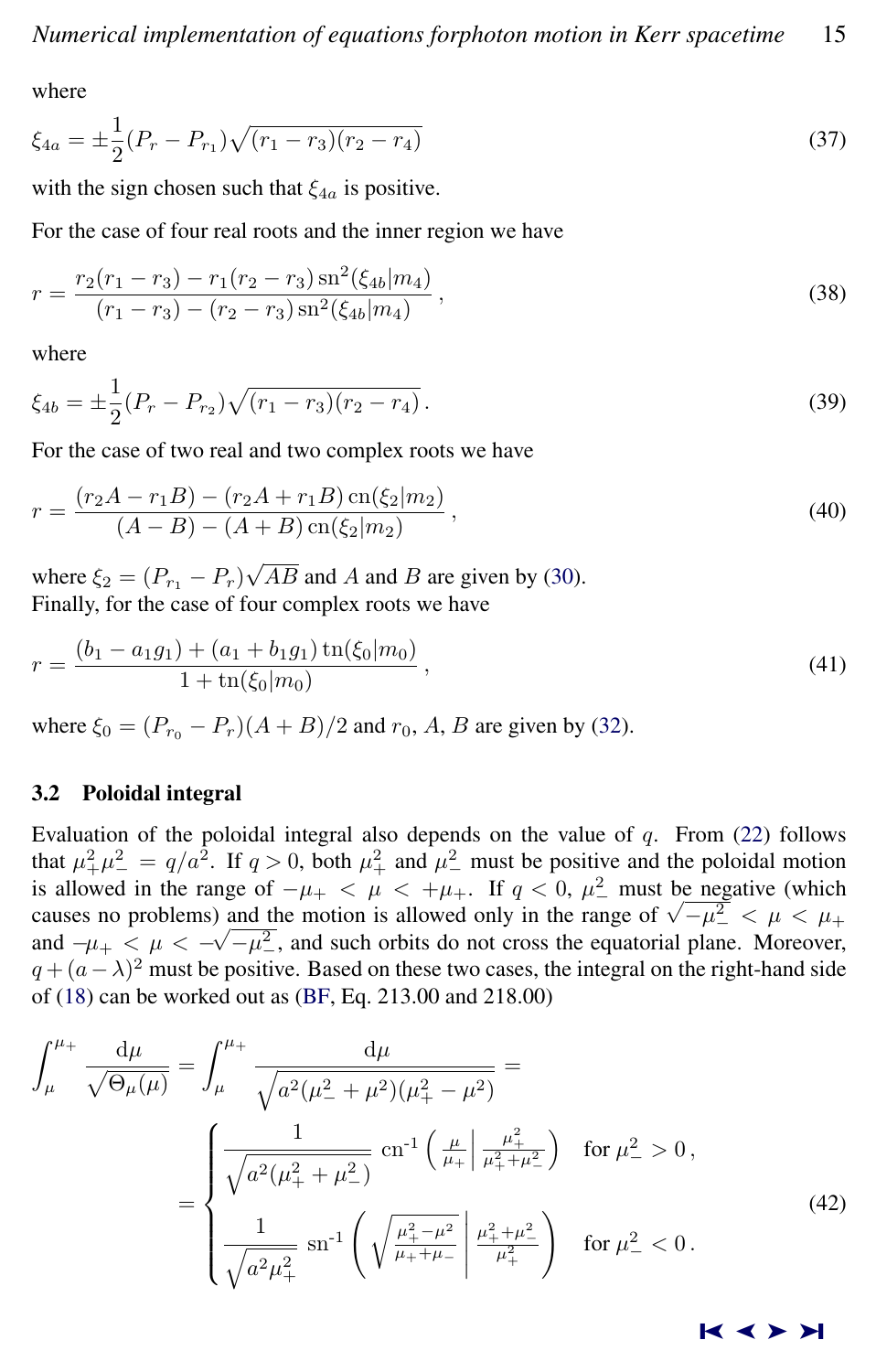<span id="page-8-0"></span>where

$$
\xi_{4a} = \pm \frac{1}{2} (P_r - P_{r_1}) \sqrt{(r_1 - r_3)(r_2 - r_4)}\tag{37}
$$

with the sign chosen such that  $\xi_{4a}$  is positive.

For the case of four real roots and the inner region we have

$$
r = \frac{r_2(r_1 - r_3) - r_1(r_2 - r_3)\operatorname{sn}^2(\xi_{4b}|m_4)}{(r_1 - r_3) - (r_2 - r_3)\operatorname{sn}^2(\xi_{4b}|m_4)},
$$
\n(38)

where

$$
\xi_{4b} = \pm \frac{1}{2} (P_r - P_{r_2}) \sqrt{(r_1 - r_3)(r_2 - r_4)}.
$$
\n(39)

For the case of two real and two complex roots we have

$$
r = \frac{(r_2 A - r_1 B) - (r_2 A + r_1 B) \operatorname{cn}(\xi_2 | m_2)}{(A - B) - (A + B) \operatorname{cn}(\xi_2 | m_2)},
$$
\n(40)

where  $\xi_2 = (P_{r_1} - P_r)$ √  $AB$  and  $A$  and  $B$  are given by [\(30\)](#page-6-0). Finally, for the case of four complex roots we have

$$
r = \frac{(b_1 - a_1 g_1) + (a_1 + b_1 g_1) \operatorname{tn}(\xi_0 | m_0)}{1 + \operatorname{tn}(\xi_0 | m_0)},
$$
\n(41)

where  $\xi_0 = (P_{r_0} - P_r)(A + B)/2$  and  $r_0$ , A, B are given by [\(32\)](#page-7-0).

# 3.2 Poloidal integral

Evaluation of the poloidal integral also depends on the value of  $q$ . From [\(22\)](#page-4-0) follows that  $\mu_+^2 \mu_-^2 = q/a^2$ . If  $q > 0$ , both  $\mu_+^2$  and  $\mu_-^2$  must be positive and the poloidal motion is allowed in the range of  $-\mu_+ < \mu < +\mu_+$ . If  $q < 0$ ,  $\mu_-^2$  must be negative (which causes no problems) and the motion is allowed only in the range of  $\sqrt{-\mu^2} < \mu < \mu_+$ and  $-\mu_{+} < \mu < -\sqrt{-\mu_{-}^2}$ , and such orbits do not cross the equatorial plane. Moreover,  $q + (a - \lambda)^2$  must be positive. Based on these two cases, the integral on the right-hand side of [\(18\)](#page-4-0) can be worked out as [\(BF,](#page-13-0) Eq. 213.00 and 218.00)

$$
\int_{\mu}^{\mu_{+}} \frac{d\mu}{\sqrt{\Theta_{\mu}(\mu)}} = \int_{\mu}^{\mu_{+}} \frac{d\mu}{\sqrt{a^{2}(\mu_{-}^{2} + \mu^{2})(\mu_{+}^{2} - \mu^{2})}} =
$$
\n
$$
= \begin{cases}\n\frac{1}{\sqrt{a^{2}(\mu_{+}^{2} + \mu_{-}^{2})}} \operatorname{cn}^{-1}\left(\frac{\mu}{\mu_{+}}\middle|\frac{\mu_{+}^{2}}{\mu_{+}^{2} + \mu_{-}^{2}}\right) & \text{for } \mu_{-}^{2} > 0, \\
\frac{1}{\sqrt{a^{2}(\mu_{+}^{2}} + \mu_{-}^{2})}} \operatorname{sn}^{-1}\left(\sqrt{\frac{\mu_{+}^{2} - \mu^{2}}{\mu_{+}^{2} + \mu_{-}^{2}}}\middle|\frac{\mu_{+}^{2} + \mu_{-}^{2}}{\mu_{+}^{2}}\right) & \text{for } \mu_{-}^{2} < 0.\n\end{cases}
$$
\n(42)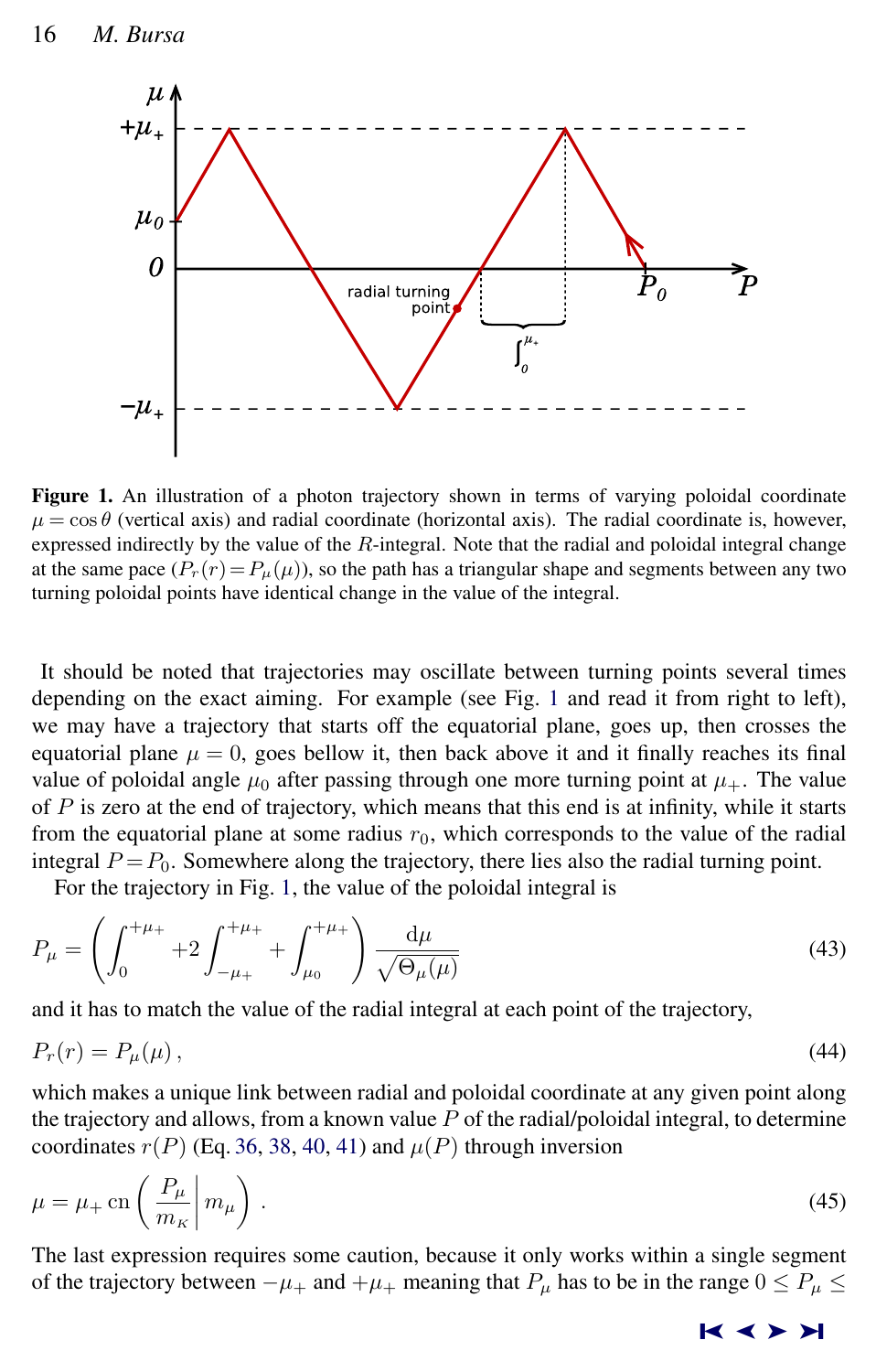

Figure 1. An illustration of a photon trajectory shown in terms of varying poloidal coordinate  $\mu = \cos \theta$  (vertical axis) and radial coordinate (horizontal axis). The radial coordinate is, however, expressed indirectly by the value of the R-integral. Note that the radial and poloidal integral change at the same pace  $(P_r(r)=P_\mu(\mu))$ , so the path has a triangular shape and segments between any two turning poloidal points have identical change in the value of the integral.

It should be noted that trajectories may oscillate between turning points several times depending on the exact aiming. For example (see Fig. 1 and read it from right to left), we may have a trajectory that starts off the equatorial plane, goes up, then crosses the equatorial plane  $\mu = 0$ , goes bellow it, then back above it and it finally reaches its final value of poloidal angle  $\mu_0$  after passing through one more turning point at  $\mu_+$ . The value of  $P$  is zero at the end of trajectory, which means that this end is at infinity, while it starts from the equatorial plane at some radius  $r_0$ , which corresponds to the value of the radial integral  $P = P_0$ . Somewhere along the trajectory, there lies also the radial turning point.

For the trajectory in Fig. 1, the value of the poloidal integral is

$$
P_{\mu} = \left(\int_0^{+\mu_+} + 2\int_{-\mu_+}^{+\mu_+} + \int_{\mu_0}^{+\mu_+}\right) \frac{\mathrm{d}\mu}{\sqrt{\Theta_{\mu}(\mu)}}\tag{43}
$$

and it has to match the value of the radial integral at each point of the trajectory,

$$
P_r(r) = P_\mu(\mu),\tag{44}
$$

which makes a unique link between radial and poloidal coordinate at any given point along the trajectory and allows, from a known value  $P$  of the radial/poloidal integral, to determine coordinates  $r(P)$  (Eq. [36,](#page-7-0) [38,](#page-8-0) [40,](#page-8-0) [41\)](#page-8-0) and  $\mu(P)$  through inversion

$$
\mu = \mu_{+} \operatorname{cn} \left( \frac{P_{\mu}}{m_{\kappa}} \middle| m_{\mu} \right). \tag{45}
$$

The last expression requires some caution, because it only works within a single segment of the trajectory between  $-\mu_+$  and  $+\mu_+$  meaning that  $P_\mu$  has to be in the range  $0 \le P_\mu \le$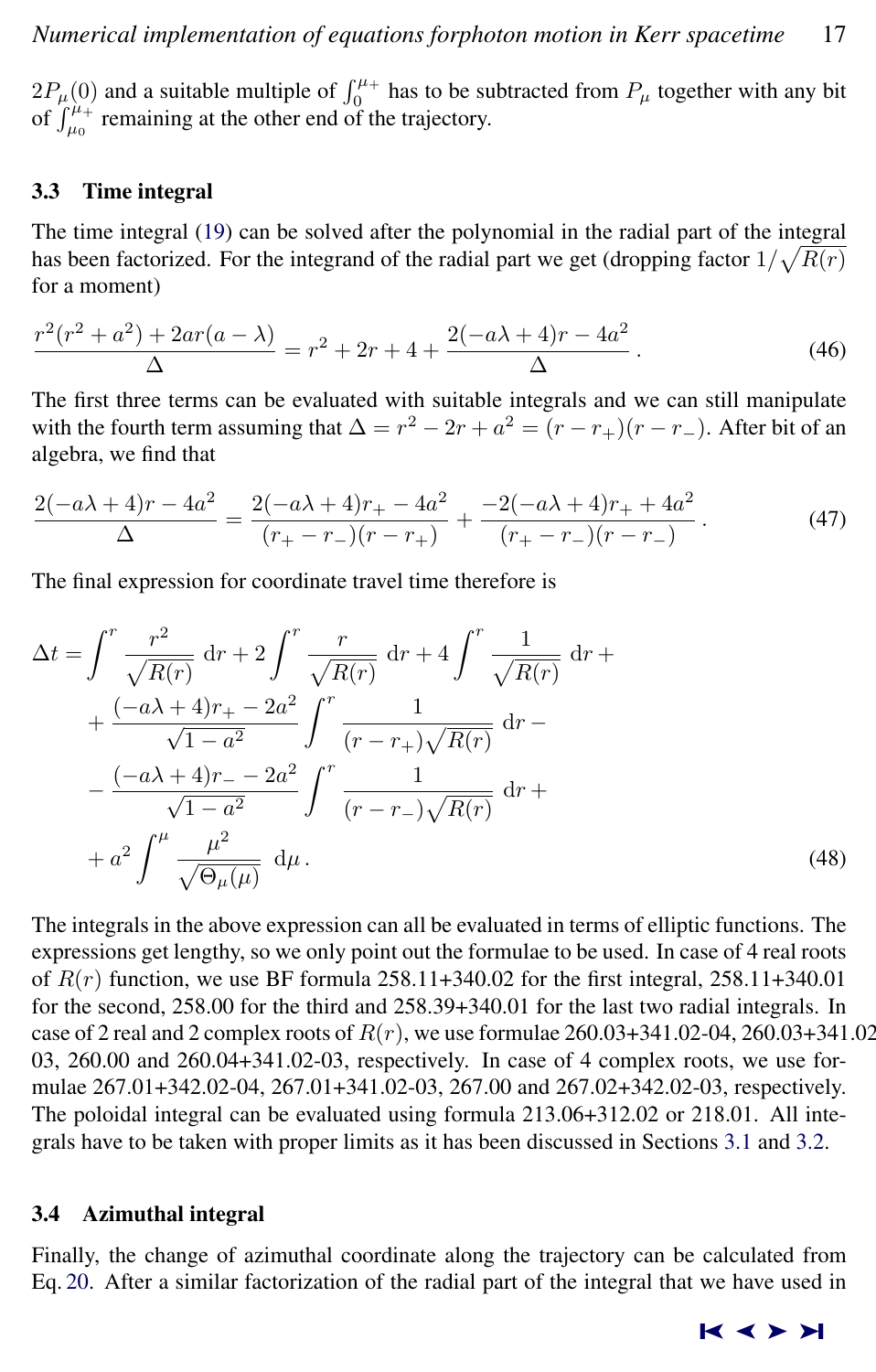$2P_\mu(0)$  and a suitable multiple of  $\int_0^{\mu_+}$  has to be subtracted from  $P_\mu$  together with any bit of  $\int_{\mu_0}^{\mu_+}$  remaining at the other end of the trajectory.

# 3.3 Time integral

The time integral [\(19\)](#page-4-0) can be solved after the polynomial in the radial part of the integral has been factorized. For the integrand of the radial part we get (dropping factor  $1/\sqrt{R(r)}$ for a moment)

$$
\frac{r^2(r^2+a^2)+2ar(a-\lambda)}{\Delta} = r^2+2r+4+\frac{2(-a\lambda+4)r-4a^2}{\Delta}.
$$
 (46)

The first three terms can be evaluated with suitable integrals and we can still manipulate with the fourth term assuming that  $\Delta = r^2 - 2r + a^2 = (r - r_+)(r - r_-)$ . After bit of an algebra, we find that

$$
\frac{2(-a\lambda+4)r-4a^2}{\Delta} = \frac{2(-a\lambda+4)r_+ - 4a^2}{(r_+ - r_-)(r - r_+)} + \frac{-2(-a\lambda+4)r_+ + 4a^2}{(r_+ - r_-)(r - r_-)}\,. \tag{47}
$$

The final expression for coordinate travel time therefore is

$$
\Delta t = \int_{0}^{r} \frac{r^2}{\sqrt{R(r)}} dr + 2 \int_{0}^{r} \frac{r}{\sqrt{R(r)}} dr + 4 \int_{0}^{r} \frac{1}{\sqrt{R(r)}} dr + \frac{(-a\lambda + 4)r_{+} - 2a^2}{\sqrt{1 - a^2}} \int_{0}^{r} \frac{1}{(r - r_{+})\sqrt{R(r)}} dr - \frac{(-a\lambda + 4)r_{-} - 2a^2}{\sqrt{1 - a^2}} \int_{0}^{r} \frac{1}{(r - r_{-})\sqrt{R(r)}} dr + a^2 \int_{0}^{\mu} \frac{\mu^2}{\sqrt{\Theta_{\mu}(\mu)}} d\mu.
$$
\n(48)

The integrals in the above expression can all be evaluated in terms of elliptic functions. The expressions get lengthy, so we only point out the formulae to be used. In case of 4 real roots of  $R(r)$  function, we use BF formula 258.11+340.02 for the first integral, 258.11+340.01 for the second, 258.00 for the third and 258.39+340.01 for the last two radial integrals. In case of 2 real and 2 complex roots of  $R(r)$ , we use formulae  $260.03+341.02-04$ ,  $260.03+341.02$ 03, 260.00 and 260.04+341.02-03, respectively. In case of 4 complex roots, we use formulae 267.01+342.02-04, 267.01+341.02-03, 267.00 and 267.02+342.02-03, respectively. The poloidal integral can be evaluated using formula 213.06+312.02 or 218.01. All integrals have to be taken with proper limits as it has been discussed in Sections [3.1](#page-5-0) and [3.2.](#page-8-0)

# 3.4 Azimuthal integral

Finally, the change of azimuthal coordinate along the trajectory can be calculated from Eq. [20.](#page-4-0) After a similar factorization of the radial part of the integral that we have used in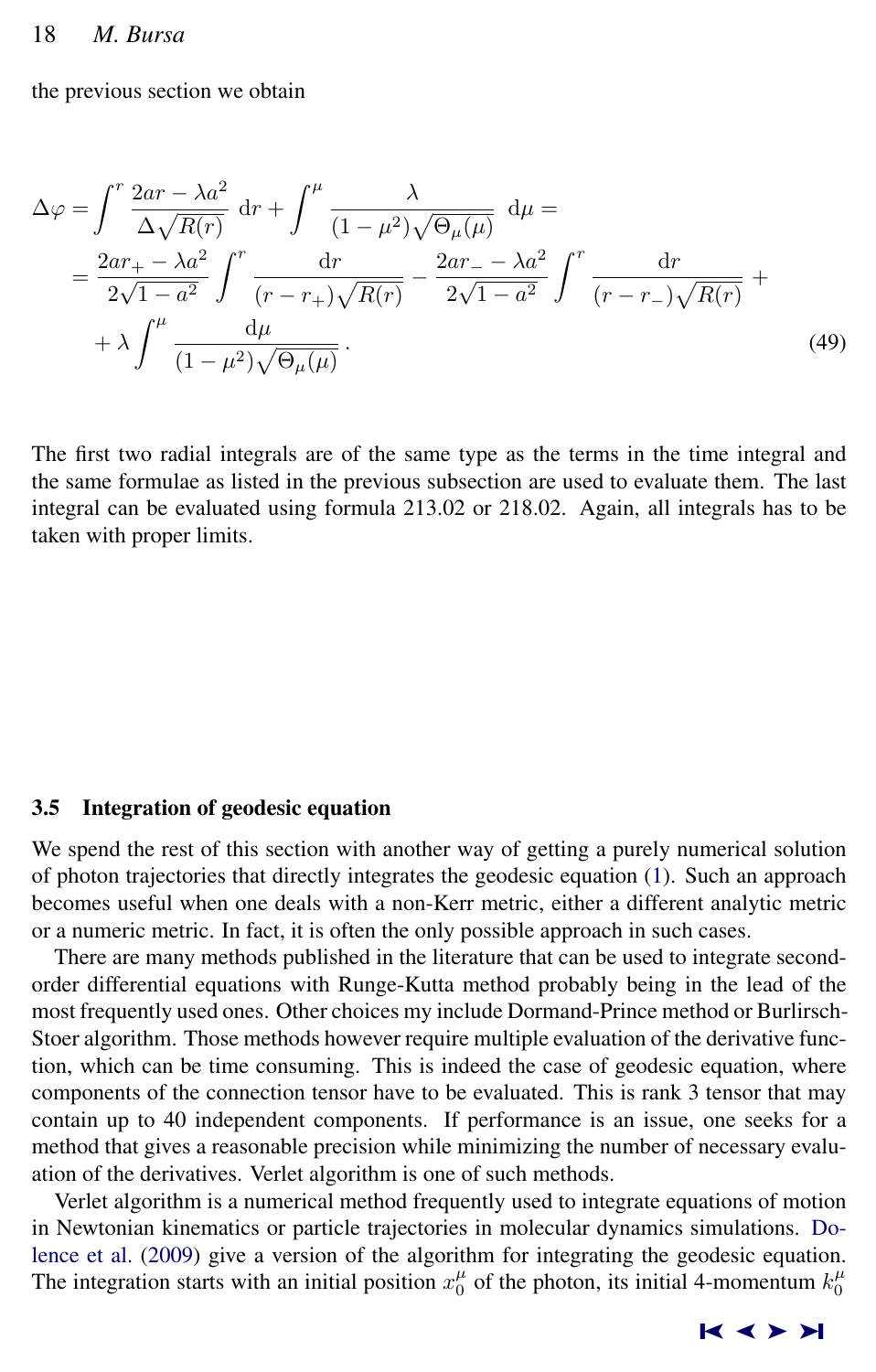the previous section we obtain

$$
\Delta \varphi = \int^r \frac{2ar - \lambda a^2}{\Delta \sqrt{R(r)}} dr + \int^{\mu} \frac{\lambda}{(1 - \mu^2) \sqrt{\Theta_{\mu}(\mu)}} d\mu =
$$
  
= 
$$
\frac{2ar_+ - \lambda a^2}{2\sqrt{1 - a^2}} \int^r \frac{dr}{(r - r_+) \sqrt{R(r)}} - \frac{2ar_- - \lambda a^2}{2\sqrt{1 - a^2}} \int^r \frac{dr}{(r - r_-) \sqrt{R(r)}} +
$$
  
+ 
$$
\lambda \int^{\mu} \frac{d\mu}{(1 - \mu^2) \sqrt{\Theta_{\mu}(\mu)}}.
$$
(49)

The first two radial integrals are of the same type as the terms in the time integral and the same formulae as listed in the previous subsection are used to evaluate them. The last integral can be evaluated using formula 213.02 or 218.02. Again, all integrals has to be taken with proper limits.

#### 3.5 Integration of geodesic equation

We spend the rest of this section with another way of getting a purely numerical solution of photon trajectories that directly integrates the geodesic equation [\(1\)](#page-1-0). Such an approach becomes useful when one deals with a non-Kerr metric, either a different analytic metric or a numeric metric. In fact, it is often the only possible approach in such cases.

There are many methods published in the literature that can be used to integrate secondorder differential equations with Runge-Kutta method probably being in the lead of the most frequently used ones. Other choices my include Dormand-Prince method or Burlirsch-Stoer algorithm. Those methods however require multiple evaluation of the derivative function, which can be time consuming. This is indeed the case of geodesic equation, where components of the connection tensor have to be evaluated. This is rank 3 tensor that may contain up to 40 independent components. If performance is an issue, one seeks for a method that gives a reasonable precision while minimizing the number of necessary evaluation of the derivatives. Verlet algorithm is one of such methods.

Verlet algorithm is a numerical method frequently used to integrate equations of motion in Newtonian kinematics or particle trajectories in molecular dynamics simulations. [Do](#page-13-0)[lence et al.](#page-13-0) [\(2009\)](#page-13-0) give a version of the algorithm for integrating the geodesic equation. The integration starts with an initial position  $x_0^{\mu}$  of the photon, its initial 4-momentum  $k_0^{\mu}$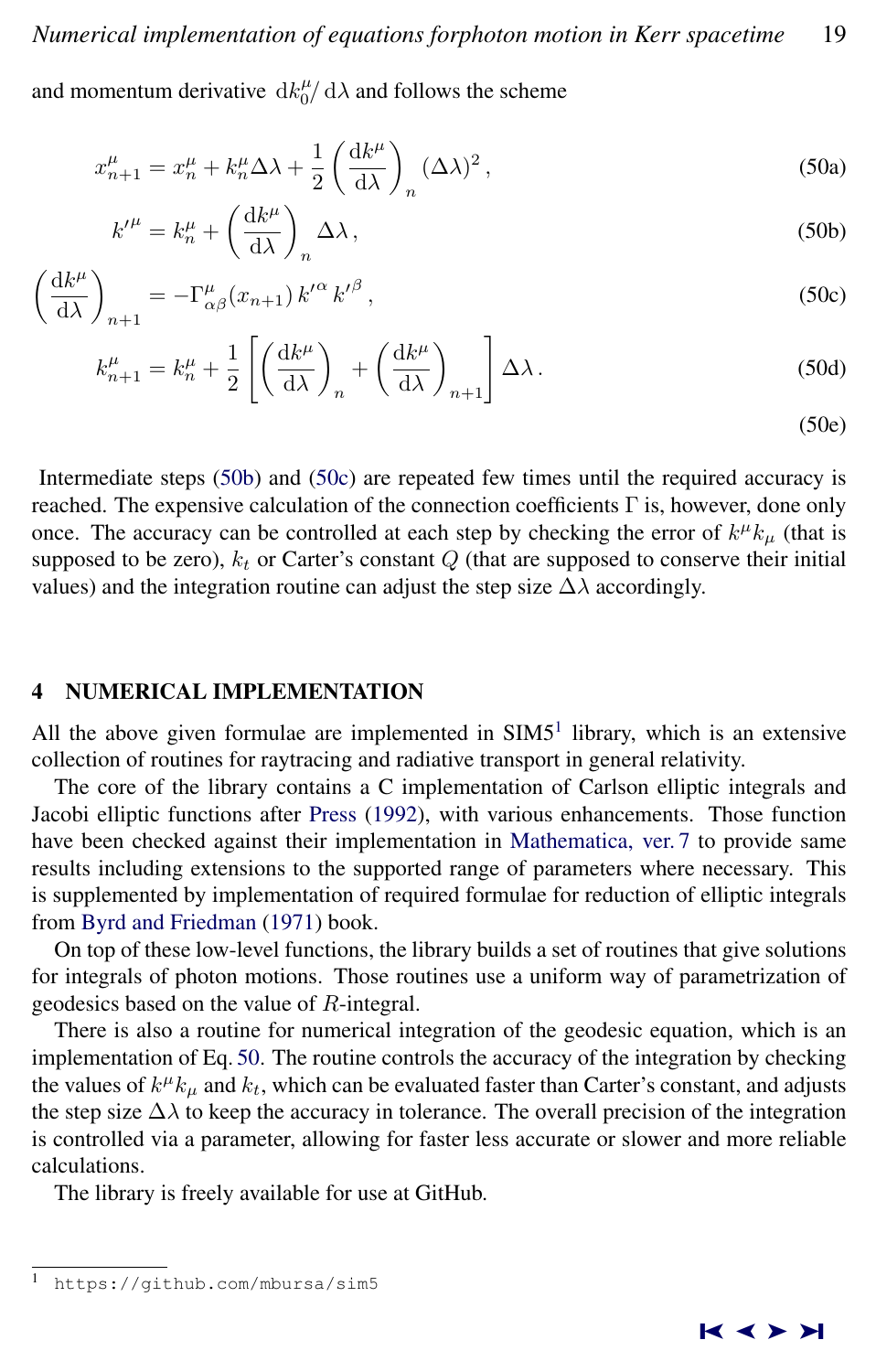and momentum derivative  $\frac{dE_{0}^{\mu}}{d\lambda}$  and follows the scheme

$$
x_{n+1}^{\mu} = x_n^{\mu} + k_n^{\mu} \Delta \lambda + \frac{1}{2} \left( \frac{\mathrm{d} k^{\mu}}{\mathrm{d} \lambda} \right)_n (\Delta \lambda)^2, \tag{50a}
$$

$$
k^{\prime \mu} = k_n^{\mu} + \left(\frac{\mathrm{d}k^{\mu}}{\mathrm{d}\lambda}\right)_n \Delta \lambda, \tag{50b}
$$

$$
\left(\frac{\mathrm{d}k^{\mu}}{\mathrm{d}\lambda}\right)_{n+1} = -\Gamma^{\mu}_{\alpha\beta}(x_{n+1})k^{\prime\alpha}k^{\prime\beta},\tag{50c}
$$

$$
k_{n+1}^{\mu} = k_n^{\mu} + \frac{1}{2} \left[ \left( \frac{\mathrm{d}k^{\mu}}{\mathrm{d}\lambda} \right)_n + \left( \frac{\mathrm{d}k^{\mu}}{\mathrm{d}\lambda} \right)_{n+1} \right] \Delta \lambda \,. \tag{50d}
$$

(50e)

Intermediate steps (50b) and (50c) are repeated few times until the required accuracy is reached. The expensive calculation of the connection coefficients Γ is, however, done only once. The accuracy can be controlled at each step by checking the error of  $k^{\mu}k_{\mu}$  (that is supposed to be zero),  $k_t$  or Carter's constant  $Q$  (that are supposed to conserve their initial values) and the integration routine can adjust the step size  $\Delta\lambda$  accordingly.

# 4 NUMERICAL IMPLEMENTATION

All the above given formulae are implemented in  $SIM5<sup>1</sup>$  library, which is an extensive collection of routines for raytracing and radiative transport in general relativity.

The core of the library contains a C implementation of Carlson elliptic integrals and Jacobi elliptic functions after [Press](#page-13-0) [\(1992\)](#page-13-0), with various enhancements. Those function have been checked against their implementation in [Mathematica, ver. 7](#page-14-0) to provide same results including extensions to the supported range of parameters where necessary. This is supplemented by implementation of required formulae for reduction of elliptic integrals from [Byrd and Friedman](#page-13-0) [\(1971\)](#page-13-0) book.

On top of these low-level functions, the library builds a set of routines that give solutions for integrals of photon motions. Those routines use a uniform way of parametrization of geodesics based on the value of R-integral.

There is also a routine for numerical integration of the geodesic equation, which is an implementation of Eq. 50. The routine controls the accuracy of the integration by checking the values of  $k^{\mu}k_{\mu}$  and  $k_{t}$ , which can be evaluated faster than Carter's constant, and adjusts the step size  $\Delta\lambda$  to keep the accuracy in tolerance. The overall precision of the integration is controlled via a parameter, allowing for faster less accurate or slower and more reliable calculations.

The library is freely available for use at GitHub.

https://github.com/mbursa/sim5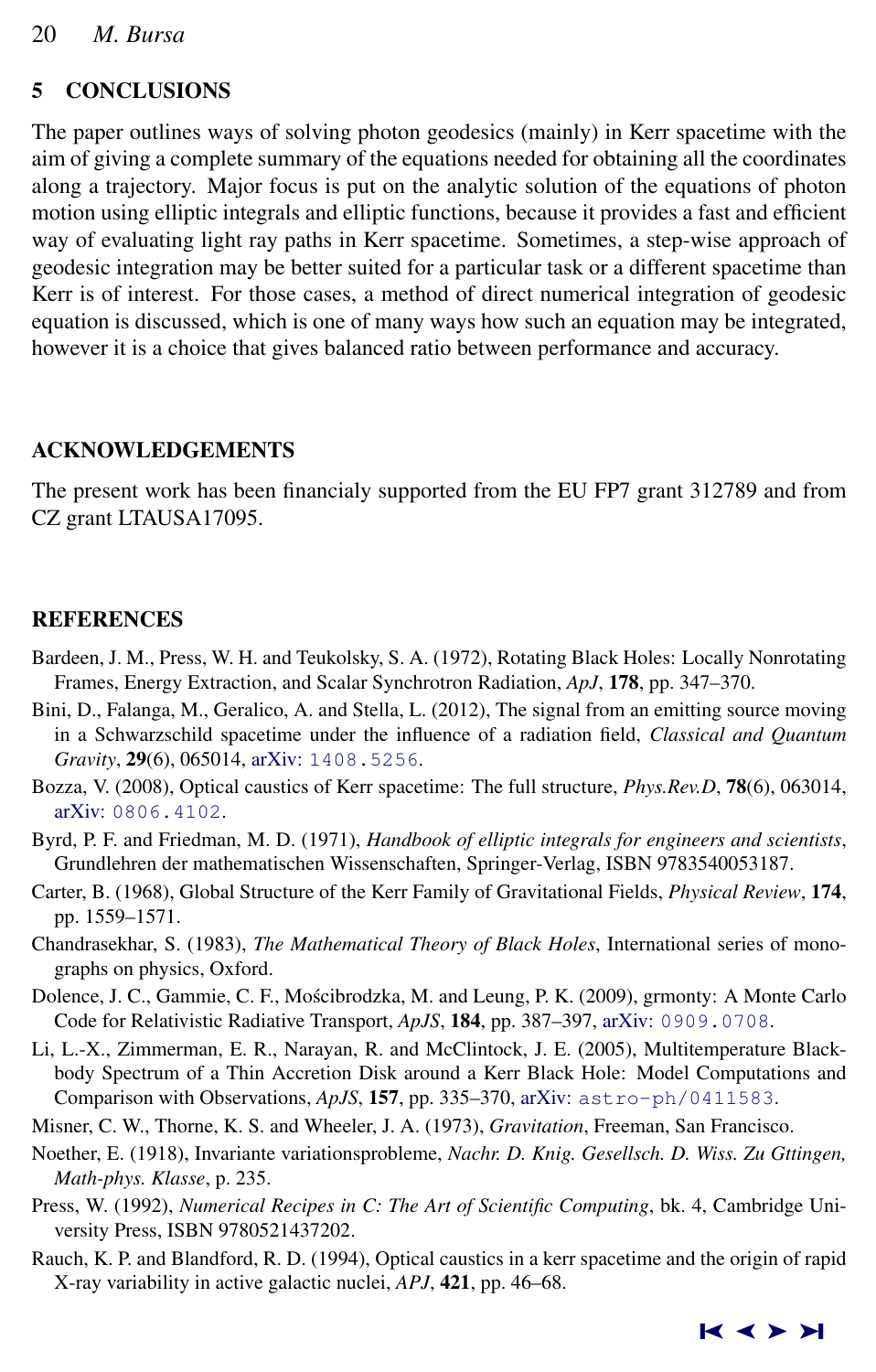# <span id="page-13-0"></span>5 CONCLUSIONS

The paper outlines ways of solving photon geodesics (mainly) in Kerr spacetime with the aim of giving a complete summary of the equations needed for obtaining all the coordinates along a trajectory. Major focus is put on the analytic solution of the equations of photon motion using elliptic integrals and elliptic functions, because it provides a fast and efficient way of evaluating light ray paths in Kerr spacetime. Sometimes, a step-wise approach of geodesic integration may be better suited for a particular task or a different spacetime than Kerr is of interest. For those cases, a method of direct numerical integration of geodesic equation is discussed, which is one of many ways how such an equation may be integrated, however it is a choice that gives balanced ratio between performance and accuracy.

# ACKNOWLEDGEMENTS

The present work has been financialy supported from the EU FP7 grant 312789 and from CZ grant LTAUSA17095.

# REFERENCES

- Bardeen, J. M., Press, W. H. and Teukolsky, S. A. (1972), Rotating Black Holes: Locally Nonrotating Frames, Energy Extraction, and Scalar Synchrotron Radiation, *ApJ*, 178, pp. 347–370.
- Bini, D., Falanga, M., Geralico, A. and Stella, L. (2012), The signal from an emitting source moving in a Schwarzschild spacetime under the influence of a radiation field, *Classical and Quantum Gravity*, 29(6), 065014, arXiv: [1408.5256](http://www.arxiv.org/abs/1408.5256).
- Bozza, V. (2008), Optical caustics of Kerr spacetime: The full structure, *Phys.Rev.D*, 78(6), 063014, arXiv: [0806.4102](http://www.arxiv.org/abs/0806.4102).
- Byrd, P. F. and Friedman, M. D. (1971), *Handbook of elliptic integrals for engineers and scientists*, Grundlehren der mathematischen Wissenschaften, Springer-Verlag, ISBN 9783540053187.
- Carter, B. (1968), Global Structure of the Kerr Family of Gravitational Fields, *Physical Review*, 174, pp. 1559–1571.
- Chandrasekhar, S. (1983), *The Mathematical Theory of Black Holes*, International series of monographs on physics, Oxford.
- Dolence, J. C., Gammie, C. F., Mościbrodzka, M. and Leung, P. K. (2009), grmonty: A Monte Carlo Code for Relativistic Radiative Transport, *ApJS*, 184, pp. 387–397, arXiv: [0909.0708](http://www.arxiv.org/abs/0909.0708).
- Li, L.-X., Zimmerman, E. R., Narayan, R. and McClintock, J. E. (2005), Multitemperature Blackbody Spectrum of a Thin Accretion Disk around a Kerr Black Hole: Model Computations and Comparison with Observations, *ApJS*, 157, pp. 335–370, arXiv: [astro-ph/0411583](http://www.arxiv.org/abs/astro-ph/0411583).

Misner, C. W., Thorne, K. S. and Wheeler, J. A. (1973), *Gravitation*, Freeman, San Francisco.

- Noether, E. (1918), Invariante variationsprobleme, *Nachr. D. Knig. Gesellsch. D. Wiss. Zu Gttingen, Math-phys. Klasse*, p. 235.
- Press, W. (1992), *Numerical Recipes in C: The Art of Scientific Computing*, bk. 4, Cambridge University Press, ISBN 9780521437202.
- Rauch, K. P. and Blandford, R. D. (1994), Optical caustics in a kerr spacetime and the origin of rapid X-ray variability in active galactic nuclei, *APJ*, 421, pp. 46–68.